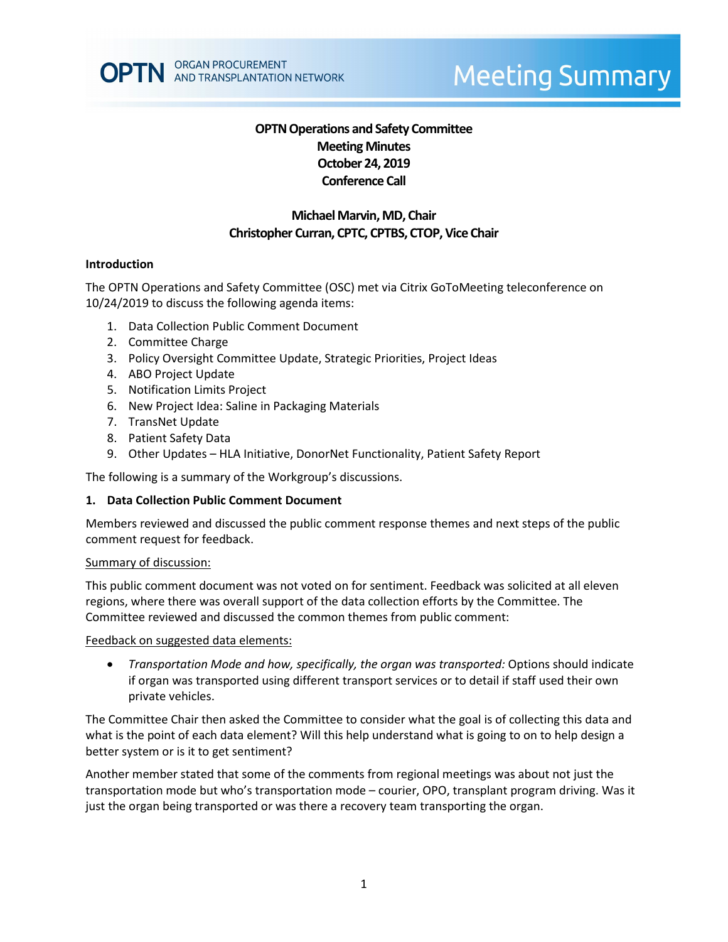# **Meeting Summary**

# **OPTN Operations and Safety Committee Meeting Minutes October 24, 2019 Conference Call**

# **Michael Marvin, MD, Chair Christopher Curran, CPTC, CPTBS, CTOP, Vice Chair**

#### **Introduction**

The OPTN Operations and Safety Committee (OSC) met via Citrix GoToMeeting teleconference on 10/24/2019 to discuss the following agenda items:

- 1. Data Collection Public Comment Document
- 2. Committee Charge
- 3. Policy Oversight Committee Update, Strategic Priorities, Project Ideas
- 4. ABO Project Update
- 5. Notification Limits Project
- 6. New Project Idea: Saline in Packaging Materials
- 7. TransNet Update
- 8. Patient Safety Data
- 9. Other Updates HLA Initiative, DonorNet Functionality, Patient Safety Report

The following is a summary of the Workgroup's discussions.

#### **1. Data Collection Public Comment Document**

Members reviewed and discussed the public comment response themes and next steps of the public comment request for feedback.

#### Summary of discussion:

This public comment document was not voted on for sentiment. Feedback was solicited at all eleven regions, where there was overall support of the data collection efforts by the Committee. The Committee reviewed and discussed the common themes from public comment:

Feedback on suggested data elements:

• *Transportation Mode and how, specifically, the organ was transported:* Options should indicate if organ was transported using different transport services or to detail if staff used their own private vehicles.

The Committee Chair then asked the Committee to consider what the goal is of collecting this data and what is the point of each data element? Will this help understand what is going to on to help design a better system or is it to get sentiment?

Another member stated that some of the comments from regional meetings was about not just the transportation mode but who's transportation mode – courier, OPO, transplant program driving. Was it just the organ being transported or was there a recovery team transporting the organ.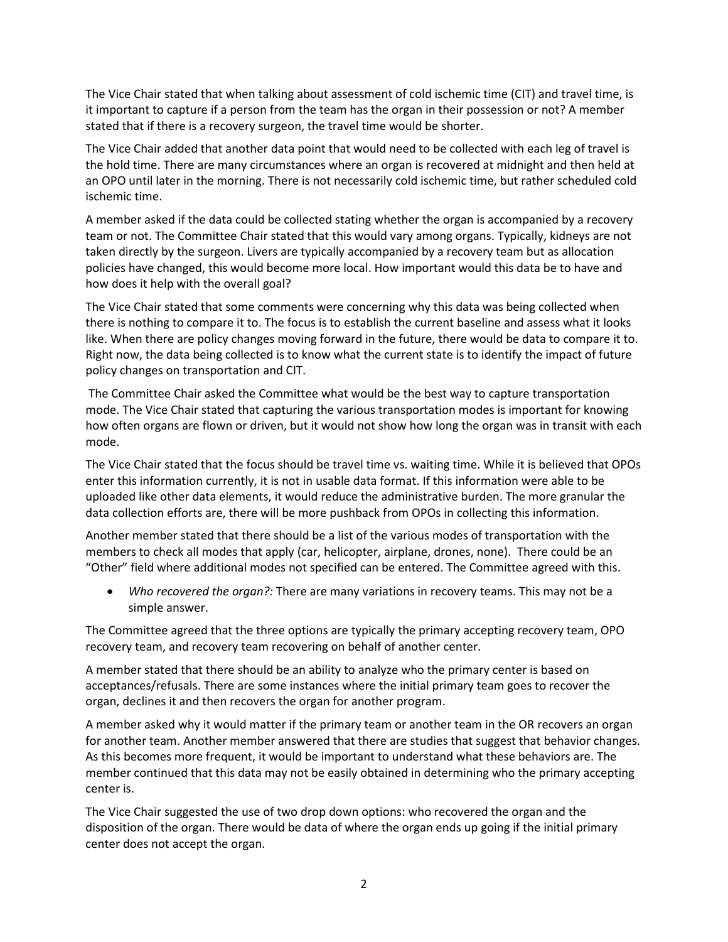The Vice Chair stated that when talking about assessment of cold ischemic time (CIT) and travel time, is it important to capture if a person from the team has the organ in their possession or not? A member stated that if there is a recovery surgeon, the travel time would be shorter.

The Vice Chair added that another data point that would need to be collected with each leg of travel is the hold time. There are many circumstances where an organ is recovered at midnight and then held at an OPO until later in the morning. There is not necessarily cold ischemic time, but rather scheduled cold ischemic time.

A member asked if the data could be collected stating whether the organ is accompanied by a recovery team or not. The Committee Chair stated that this would vary among organs. Typically, kidneys are not taken directly by the surgeon. Livers are typically accompanied by a recovery team but as allocation policies have changed, this would become more local. How important would this data be to have and how does it help with the overall goal?

The Vice Chair stated that some comments were concerning why this data was being collected when there is nothing to compare it to. The focus is to establish the current baseline and assess what it looks like. When there are policy changes moving forward in the future, there would be data to compare it to. Right now, the data being collected is to know what the current state is to identify the impact of future policy changes on transportation and CIT.

The Committee Chair asked the Committee what would be the best way to capture transportation mode. The Vice Chair stated that capturing the various transportation modes is important for knowing how often organs are flown or driven, but it would not show how long the organ was in transit with each mode.

The Vice Chair stated that the focus should be travel time vs. waiting time. While it is believed that OPOs enter this information currently, it is not in usable data format. If this information were able to be uploaded like other data elements, it would reduce the administrative burden. The more granular the data collection efforts are, there will be more pushback from OPOs in collecting this information.

Another member stated that there should be a list of the various modes of transportation with the members to check all modes that apply (car, helicopter, airplane, drones, none). There could be an "Other" field where additional modes not specified can be entered. The Committee agreed with this.

• *Who recovered the organ?:* There are many variations in recovery teams. This may not be a simple answer.

The Committee agreed that the three options are typically the primary accepting recovery team, OPO recovery team, and recovery team recovering on behalf of another center.

A member stated that there should be an ability to analyze who the primary center is based on acceptances/refusals. There are some instances where the initial primary team goes to recover the organ, declines it and then recovers the organ for another program.

A member asked why it would matter if the primary team or another team in the OR recovers an organ for another team. Another member answered that there are studies that suggest that behavior changes. As this becomes more frequent, it would be important to understand what these behaviors are. The member continued that this data may not be easily obtained in determining who the primary accepting center is.

The Vice Chair suggested the use of two drop down options: who recovered the organ and the disposition of the organ. There would be data of where the organ ends up going if the initial primary center does not accept the organ.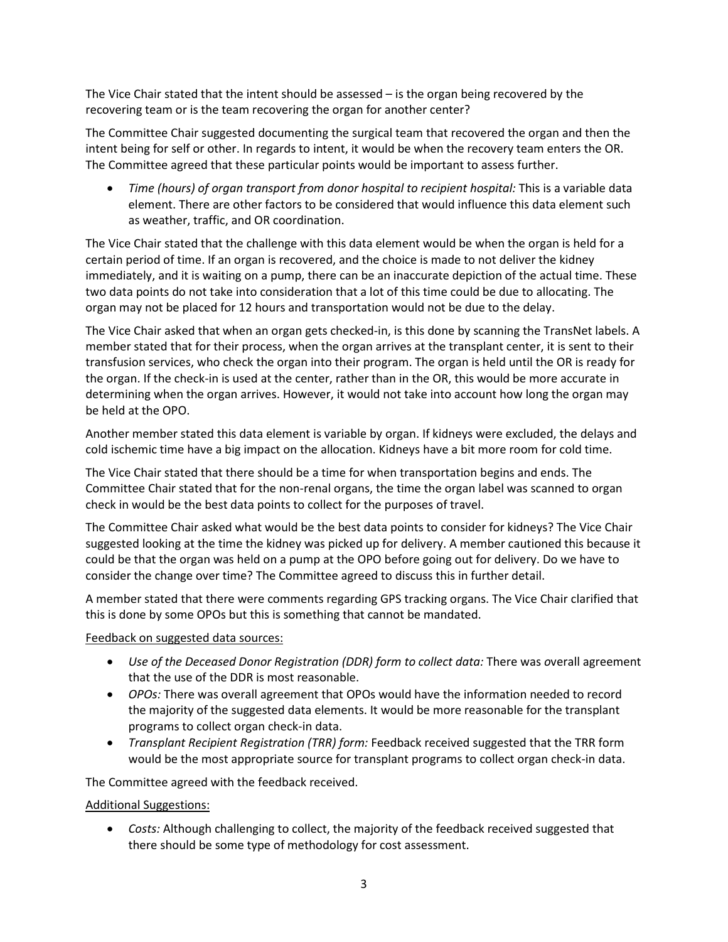The Vice Chair stated that the intent should be assessed – is the organ being recovered by the recovering team or is the team recovering the organ for another center?

The Committee Chair suggested documenting the surgical team that recovered the organ and then the intent being for self or other. In regards to intent, it would be when the recovery team enters the OR. The Committee agreed that these particular points would be important to assess further.

• *Time (hours) of organ transport from donor hospital to recipient hospital:* This is a variable data element. There are other factors to be considered that would influence this data element such as weather, traffic, and OR coordination.

The Vice Chair stated that the challenge with this data element would be when the organ is held for a certain period of time. If an organ is recovered, and the choice is made to not deliver the kidney immediately, and it is waiting on a pump, there can be an inaccurate depiction of the actual time. These two data points do not take into consideration that a lot of this time could be due to allocating. The organ may not be placed for 12 hours and transportation would not be due to the delay.

The Vice Chair asked that when an organ gets checked-in, is this done by scanning the TransNet labels. A member stated that for their process, when the organ arrives at the transplant center, it is sent to their transfusion services, who check the organ into their program. The organ is held until the OR is ready for the organ. If the check-in is used at the center, rather than in the OR, this would be more accurate in determining when the organ arrives. However, it would not take into account how long the organ may be held at the OPO.

Another member stated this data element is variable by organ. If kidneys were excluded, the delays and cold ischemic time have a big impact on the allocation. Kidneys have a bit more room for cold time.

The Vice Chair stated that there should be a time for when transportation begins and ends. The Committee Chair stated that for the non-renal organs, the time the organ label was scanned to organ check in would be the best data points to collect for the purposes of travel.

The Committee Chair asked what would be the best data points to consider for kidneys? The Vice Chair suggested looking at the time the kidney was picked up for delivery. A member cautioned this because it could be that the organ was held on a pump at the OPO before going out for delivery. Do we have to consider the change over time? The Committee agreed to discuss this in further detail.

A member stated that there were comments regarding GPS tracking organs. The Vice Chair clarified that this is done by some OPOs but this is something that cannot be mandated.

Feedback on suggested data sources:

- *Use of the Deceased Donor Registration (DDR) form to collect data:* There was *o*verall agreement that the use of the DDR is most reasonable.
- *OPOs:* There was overall agreement that OPOs would have the information needed to record the majority of the suggested data elements. It would be more reasonable for the transplant programs to collect organ check-in data.
- *Transplant Recipient Registration (TRR) form:* Feedback received suggested that the TRR form would be the most appropriate source for transplant programs to collect organ check-in data.

The Committee agreed with the feedback received.

#### Additional Suggestions:

• *Costs:* Although challenging to collect, the majority of the feedback received suggested that there should be some type of methodology for cost assessment.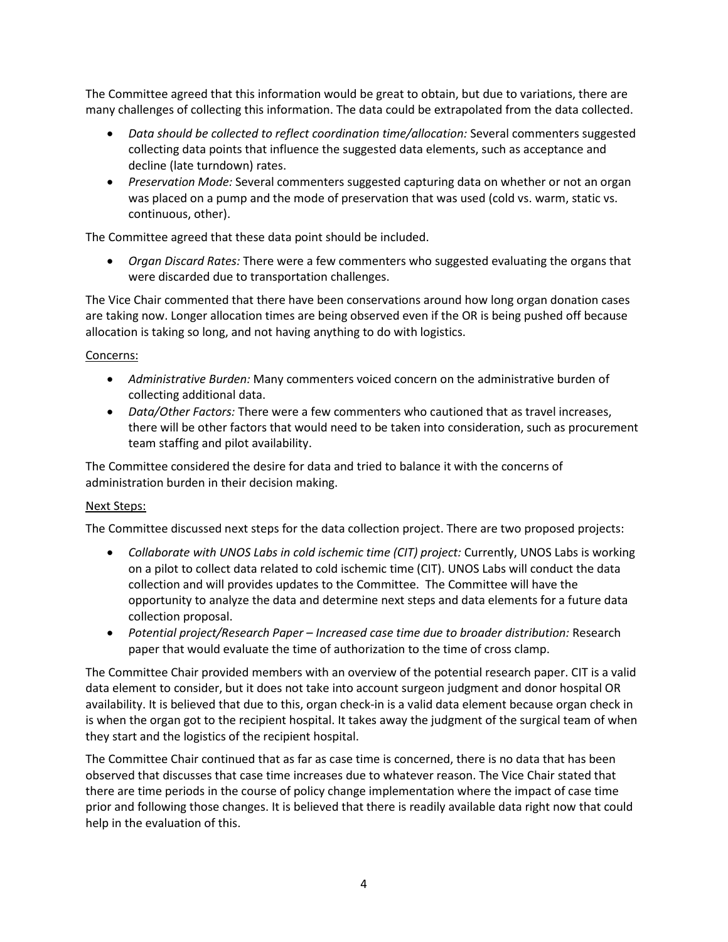The Committee agreed that this information would be great to obtain, but due to variations, there are many challenges of collecting this information. The data could be extrapolated from the data collected.

- *Data should be collected to reflect coordination time/allocation:* Several commenters suggested collecting data points that influence the suggested data elements, such as acceptance and decline (late turndown) rates.
- *Preservation Mode:* Several commenters suggested capturing data on whether or not an organ was placed on a pump and the mode of preservation that was used (cold vs. warm, static vs. continuous, other).

The Committee agreed that these data point should be included.

• *Organ Discard Rates:* There were a few commenters who suggested evaluating the organs that were discarded due to transportation challenges.

The Vice Chair commented that there have been conservations around how long organ donation cases are taking now. Longer allocation times are being observed even if the OR is being pushed off because allocation is taking so long, and not having anything to do with logistics.

#### Concerns:

- *Administrative Burden:* Many commenters voiced concern on the administrative burden of collecting additional data.
- *Data/Other Factors:* There were a few commenters who cautioned that as travel increases, there will be other factors that would need to be taken into consideration, such as procurement team staffing and pilot availability.

The Committee considered the desire for data and tried to balance it with the concerns of administration burden in their decision making.

#### Next Steps:

The Committee discussed next steps for the data collection project. There are two proposed projects:

- *Collaborate with UNOS Labs in cold ischemic time (CIT) project:* Currently, UNOS Labs is working on a pilot to collect data related to cold ischemic time (CIT). UNOS Labs will conduct the data collection and will provides updates to the Committee. The Committee will have the opportunity to analyze the data and determine next steps and data elements for a future data collection proposal.
- *Potential project/Research Paper – Increased case time due to broader distribution:* Research paper that would evaluate the time of authorization to the time of cross clamp.

The Committee Chair provided members with an overview of the potential research paper. CIT is a valid data element to consider, but it does not take into account surgeon judgment and donor hospital OR availability. It is believed that due to this, organ check-in is a valid data element because organ check in is when the organ got to the recipient hospital. It takes away the judgment of the surgical team of when they start and the logistics of the recipient hospital.

The Committee Chair continued that as far as case time is concerned, there is no data that has been observed that discusses that case time increases due to whatever reason. The Vice Chair stated that there are time periods in the course of policy change implementation where the impact of case time prior and following those changes. It is believed that there is readily available data right now that could help in the evaluation of this.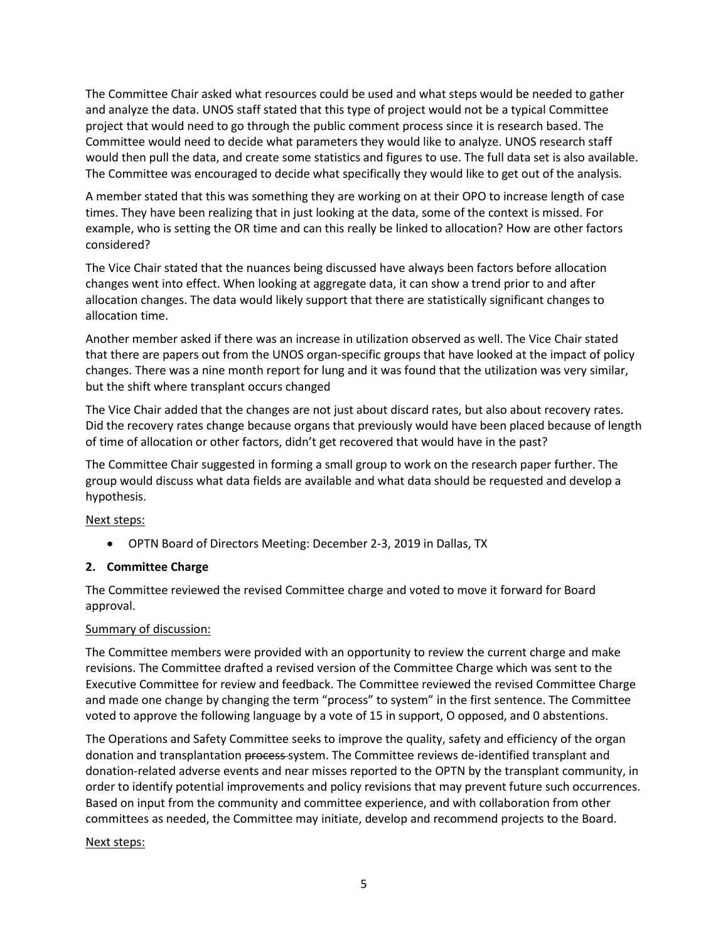The Committee Chair asked what resources could be used and what steps would be needed to gather and analyze the data. UNOS staff stated that this type of project would not be a typical Committee project that would need to go through the public comment process since it is research based. The Committee would need to decide what parameters they would like to analyze. UNOS research staff would then pull the data, and create some statistics and figures to use. The full data set is also available. The Committee was encouraged to decide what specifically they would like to get out of the analysis.

A member stated that this was something they are working on at their OPO to increase length of case times. They have been realizing that in just looking at the data, some of the context is missed. For example, who is setting the OR time and can this really be linked to allocation? How are other factors considered?

The Vice Chair stated that the nuances being discussed have always been factors before allocation changes went into effect. When looking at aggregate data, it can show a trend prior to and after allocation changes. The data would likely support that there are statistically significant changes to allocation time.

Another member asked if there was an increase in utilization observed as well. The Vice Chair stated that there are papers out from the UNOS organ-specific groups that have looked at the impact of policy changes. There was a nine month report for lung and it was found that the utilization was very similar, but the shift where transplant occurs changed

The Vice Chair added that the changes are not just about discard rates, but also about recovery rates. Did the recovery rates change because organs that previously would have been placed because of length of time of allocation or other factors, didn't get recovered that would have in the past?

The Committee Chair suggested in forming a small group to work on the research paper further. The group would discuss what data fields are available and what data should be requested and develop a hypothesis.

#### Next steps:

• OPTN Board of Directors Meeting: December 2-3, 2019 in Dallas, TX

#### **2. Committee Charge**

The Committee reviewed the revised Committee charge and voted to move it forward for Board approval.

#### Summary of discussion:

The Committee members were provided with an opportunity to review the current charge and make revisions. The Committee drafted a revised version of the Committee Charge which was sent to the Executive Committee for review and feedback. The Committee reviewed the revised Committee Charge and made one change by changing the term "process" to system" in the first sentence. The Committee voted to approve the following language by a vote of 15 in support, O opposed, and 0 abstentions.

The Operations and Safety Committee seeks to improve the quality, safety and efficiency of the organ donation and transplantation process-system. The Committee reviews de-identified transplant and donation-related adverse events and near misses reported to the OPTN by the transplant community, in order to identify potential improvements and policy revisions that may prevent future such occurrences. Based on input from the community and committee experience, and with collaboration from other committees as needed, the Committee may initiate, develop and recommend projects to the Board.

#### Next steps: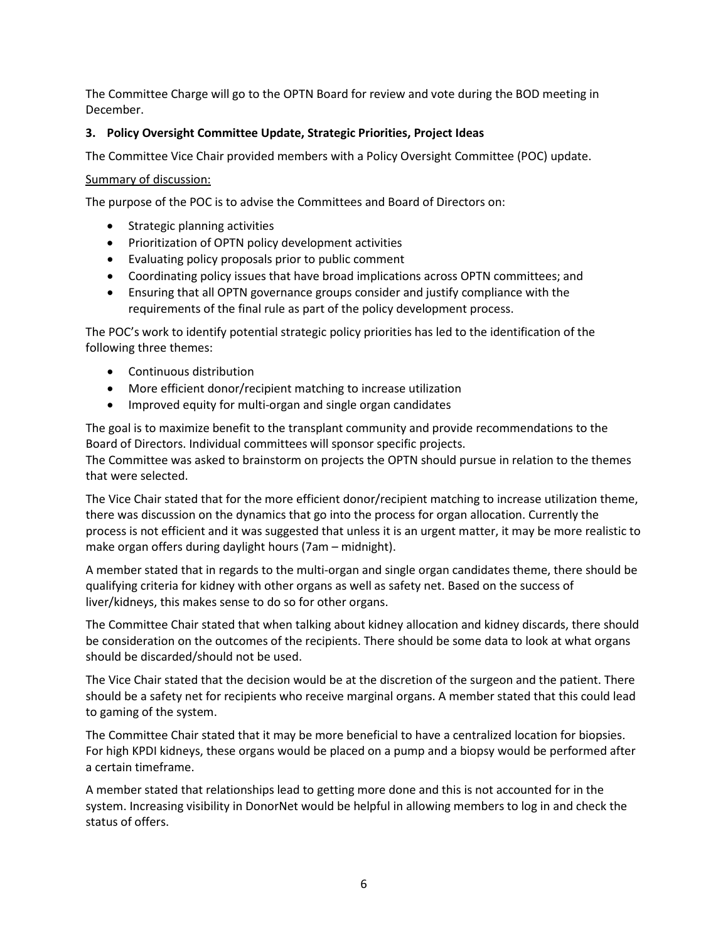The Committee Charge will go to the OPTN Board for review and vote during the BOD meeting in December.

# **3. Policy Oversight Committee Update, Strategic Priorities, Project Ideas**

The Committee Vice Chair provided members with a Policy Oversight Committee (POC) update.

#### Summary of discussion:

The purpose of the POC is to advise the Committees and Board of Directors on:

- Strategic planning activities
- Prioritization of OPTN policy development activities
- Evaluating policy proposals prior to public comment
- Coordinating policy issues that have broad implications across OPTN committees; and
- Ensuring that all OPTN governance groups consider and justify compliance with the requirements of the final rule as part of the policy development process.

The POC's work to identify potential strategic policy priorities has led to the identification of the following three themes:

- Continuous distribution
- More efficient donor/recipient matching to increase utilization
- Improved equity for multi-organ and single organ candidates

The goal is to maximize benefit to the transplant community and provide recommendations to the Board of Directors. Individual committees will sponsor specific projects.

The Committee was asked to brainstorm on projects the OPTN should pursue in relation to the themes that were selected.

The Vice Chair stated that for the more efficient donor/recipient matching to increase utilization theme, there was discussion on the dynamics that go into the process for organ allocation. Currently the process is not efficient and it was suggested that unless it is an urgent matter, it may be more realistic to make organ offers during daylight hours (7am – midnight).

A member stated that in regards to the multi-organ and single organ candidates theme, there should be qualifying criteria for kidney with other organs as well as safety net. Based on the success of liver/kidneys, this makes sense to do so for other organs.

The Committee Chair stated that when talking about kidney allocation and kidney discards, there should be consideration on the outcomes of the recipients. There should be some data to look at what organs should be discarded/should not be used.

The Vice Chair stated that the decision would be at the discretion of the surgeon and the patient. There should be a safety net for recipients who receive marginal organs. A member stated that this could lead to gaming of the system.

The Committee Chair stated that it may be more beneficial to have a centralized location for biopsies. For high KPDI kidneys, these organs would be placed on a pump and a biopsy would be performed after a certain timeframe.

A member stated that relationships lead to getting more done and this is not accounted for in the system. Increasing visibility in DonorNet would be helpful in allowing members to log in and check the status of offers.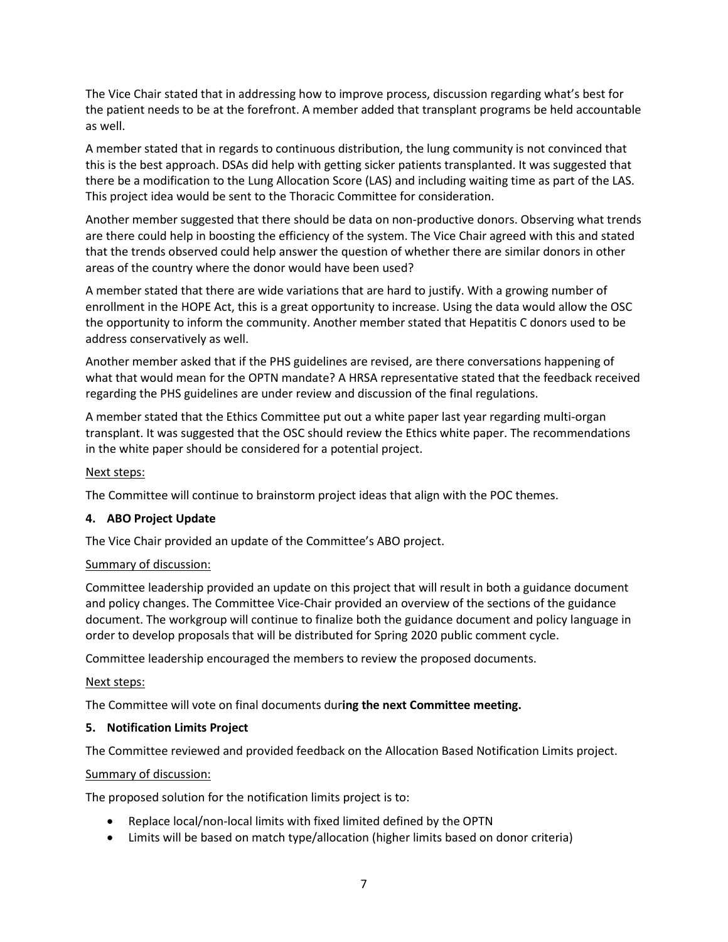The Vice Chair stated that in addressing how to improve process, discussion regarding what's best for the patient needs to be at the forefront. A member added that transplant programs be held accountable as well.

A member stated that in regards to continuous distribution, the lung community is not convinced that this is the best approach. DSAs did help with getting sicker patients transplanted. It was suggested that there be a modification to the Lung Allocation Score (LAS) and including waiting time as part of the LAS. This project idea would be sent to the Thoracic Committee for consideration.

Another member suggested that there should be data on non-productive donors. Observing what trends are there could help in boosting the efficiency of the system. The Vice Chair agreed with this and stated that the trends observed could help answer the question of whether there are similar donors in other areas of the country where the donor would have been used?

A member stated that there are wide variations that are hard to justify. With a growing number of enrollment in the HOPE Act, this is a great opportunity to increase. Using the data would allow the OSC the opportunity to inform the community. Another member stated that Hepatitis C donors used to be address conservatively as well.

Another member asked that if the PHS guidelines are revised, are there conversations happening of what that would mean for the OPTN mandate? A HRSA representative stated that the feedback received regarding the PHS guidelines are under review and discussion of the final regulations.

A member stated that the Ethics Committee put out a white paper last year regarding multi-organ transplant. It was suggested that the OSC should review the Ethics white paper. The recommendations in the white paper should be considered for a potential project.

#### Next steps:

The Committee will continue to brainstorm project ideas that align with the POC themes.

#### **4. ABO Project Update**

The Vice Chair provided an update of the Committee's ABO project.

#### Summary of discussion:

Committee leadership provided an update on this project that will result in both a guidance document and policy changes. The Committee Vice-Chair provided an overview of the sections of the guidance document. The workgroup will continue to finalize both the guidance document and policy language in order to develop proposals that will be distributed for Spring 2020 public comment cycle.

Committee leadership encouraged the members to review the proposed documents.

#### Next steps:

The Committee will vote on final documents dur**ing the next Committee meeting.**

#### **5. Notification Limits Project**

The Committee reviewed and provided feedback on the Allocation Based Notification Limits project.

#### Summary of discussion:

The proposed solution for the notification limits project is to:

- Replace local/non-local limits with fixed limited defined by the OPTN
- Limits will be based on match type/allocation (higher limits based on donor criteria)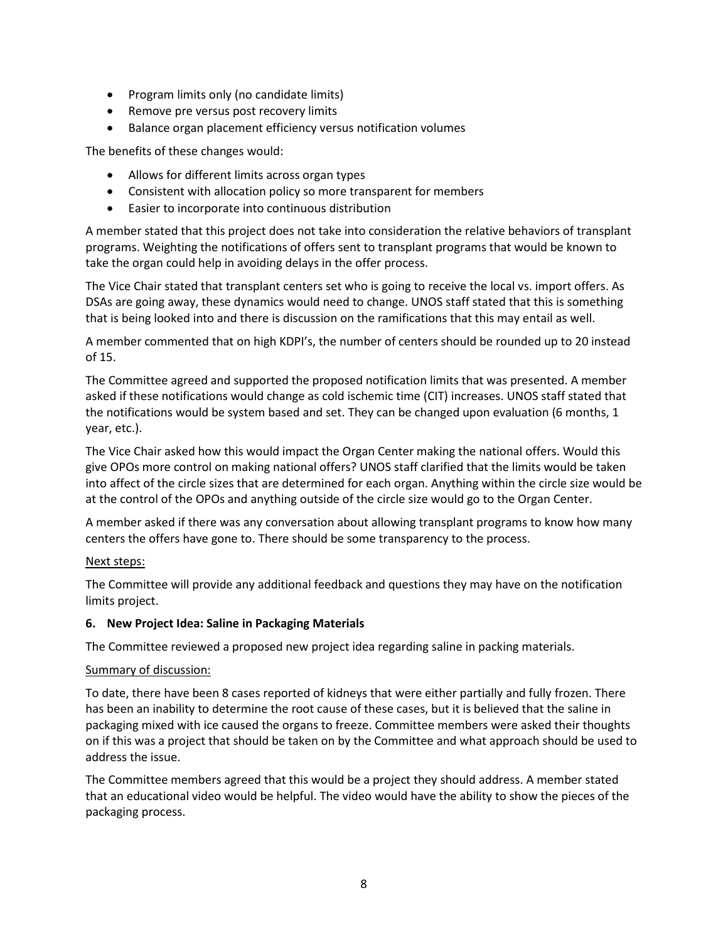- Program limits only (no candidate limits)
- Remove pre versus post recovery limits
- Balance organ placement efficiency versus notification volumes

The benefits of these changes would:

- Allows for different limits across organ types
- Consistent with allocation policy so more transparent for members
- Easier to incorporate into continuous distribution

A member stated that this project does not take into consideration the relative behaviors of transplant programs. Weighting the notifications of offers sent to transplant programs that would be known to take the organ could help in avoiding delays in the offer process.

The Vice Chair stated that transplant centers set who is going to receive the local vs. import offers. As DSAs are going away, these dynamics would need to change. UNOS staff stated that this is something that is being looked into and there is discussion on the ramifications that this may entail as well.

A member commented that on high KDPI's, the number of centers should be rounded up to 20 instead of 15.

The Committee agreed and supported the proposed notification limits that was presented. A member asked if these notifications would change as cold ischemic time (CIT) increases. UNOS staff stated that the notifications would be system based and set. They can be changed upon evaluation (6 months, 1 year, etc.).

The Vice Chair asked how this would impact the Organ Center making the national offers. Would this give OPOs more control on making national offers? UNOS staff clarified that the limits would be taken into affect of the circle sizes that are determined for each organ. Anything within the circle size would be at the control of the OPOs and anything outside of the circle size would go to the Organ Center.

A member asked if there was any conversation about allowing transplant programs to know how many centers the offers have gone to. There should be some transparency to the process.

#### Next steps:

The Committee will provide any additional feedback and questions they may have on the notification limits project.

#### **6. New Project Idea: Saline in Packaging Materials**

The Committee reviewed a proposed new project idea regarding saline in packing materials.

#### Summary of discussion:

To date, there have been 8 cases reported of kidneys that were either partially and fully frozen. There has been an inability to determine the root cause of these cases, but it is believed that the saline in packaging mixed with ice caused the organs to freeze. Committee members were asked their thoughts on if this was a project that should be taken on by the Committee and what approach should be used to address the issue.

The Committee members agreed that this would be a project they should address. A member stated that an educational video would be helpful. The video would have the ability to show the pieces of the packaging process.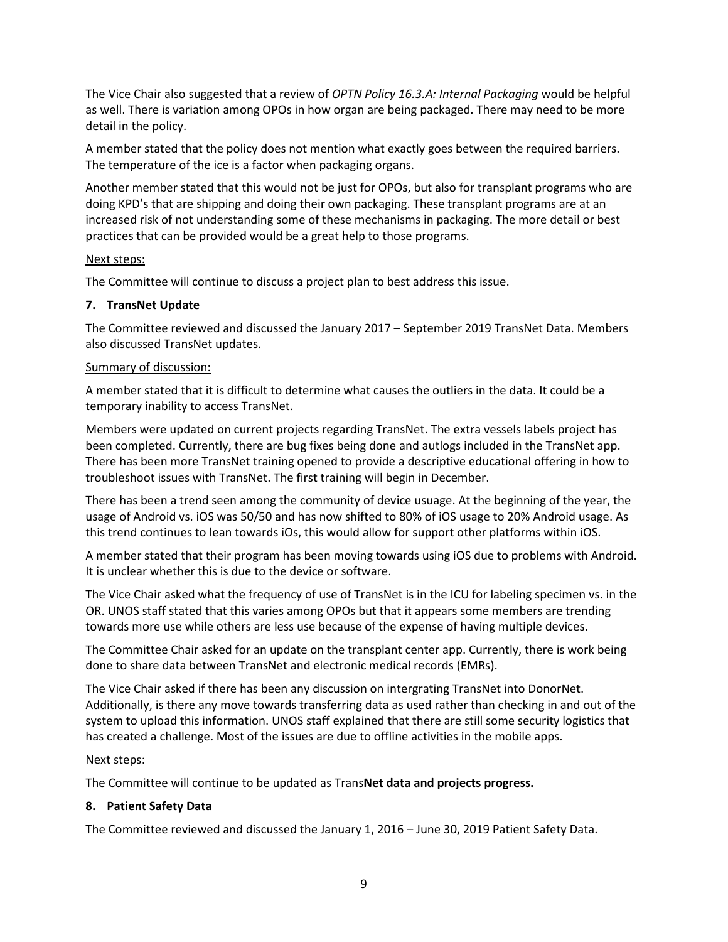The Vice Chair also suggested that a review of *OPTN Policy 16.3.A: Internal Packaging* would be helpful as well. There is variation among OPOs in how organ are being packaged. There may need to be more detail in the policy.

A member stated that the policy does not mention what exactly goes between the required barriers. The temperature of the ice is a factor when packaging organs.

Another member stated that this would not be just for OPOs, but also for transplant programs who are doing KPD's that are shipping and doing their own packaging. These transplant programs are at an increased risk of not understanding some of these mechanisms in packaging. The more detail or best practices that can be provided would be a great help to those programs.

#### Next steps:

The Committee will continue to discuss a project plan to best address this issue.

# **7. TransNet Update**

The Committee reviewed and discussed the January 2017 – September 2019 TransNet Data. Members also discussed TransNet updates.

# Summary of discussion:

A member stated that it is difficult to determine what causes the outliers in the data. It could be a temporary inability to access TransNet.

Members were updated on current projects regarding TransNet. The extra vessels labels project has been completed. Currently, there are bug fixes being done and autlogs included in the TransNet app. There has been more TransNet training opened to provide a descriptive educational offering in how to troubleshoot issues with TransNet. The first training will begin in December.

There has been a trend seen among the community of device usuage. At the beginning of the year, the usage of Android vs. iOS was 50/50 and has now shifted to 80% of iOS usage to 20% Android usage. As this trend continues to lean towards iOs, this would allow for support other platforms within iOS.

A member stated that their program has been moving towards using iOS due to problems with Android. It is unclear whether this is due to the device or software.

The Vice Chair asked what the frequency of use of TransNet is in the ICU for labeling specimen vs. in the OR. UNOS staff stated that this varies among OPOs but that it appears some members are trending towards more use while others are less use because of the expense of having multiple devices.

The Committee Chair asked for an update on the transplant center app. Currently, there is work being done to share data between TransNet and electronic medical records (EMRs).

The Vice Chair asked if there has been any discussion on intergrating TransNet into DonorNet. Additionally, is there any move towards transferring data as used rather than checking in and out of the system to upload this information. UNOS staff explained that there are still some security logistics that has created a challenge. Most of the issues are due to offline activities in the mobile apps.

#### Next steps:

The Committee will continue to be updated as Trans**Net data and projects progress.**

# **8. Patient Safety Data**

The Committee reviewed and discussed the January 1, 2016 – June 30, 2019 Patient Safety Data.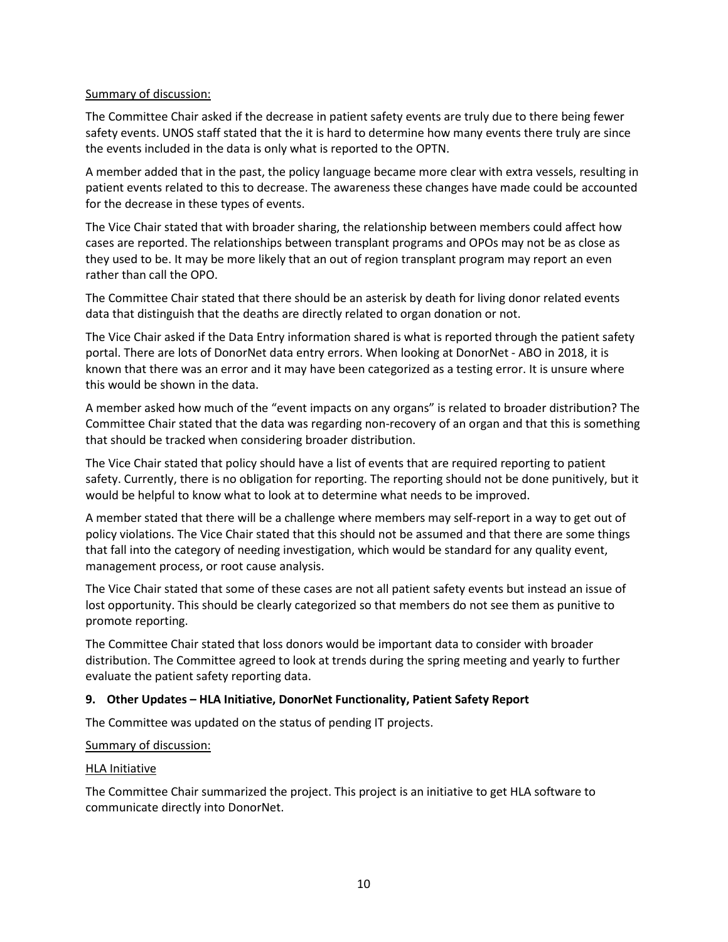#### Summary of discussion:

The Committee Chair asked if the decrease in patient safety events are truly due to there being fewer safety events. UNOS staff stated that the it is hard to determine how many events there truly are since the events included in the data is only what is reported to the OPTN.

A member added that in the past, the policy language became more clear with extra vessels, resulting in patient events related to this to decrease. The awareness these changes have made could be accounted for the decrease in these types of events.

The Vice Chair stated that with broader sharing, the relationship between members could affect how cases are reported. The relationships between transplant programs and OPOs may not be as close as they used to be. It may be more likely that an out of region transplant program may report an even rather than call the OPO.

The Committee Chair stated that there should be an asterisk by death for living donor related events data that distinguish that the deaths are directly related to organ donation or not.

The Vice Chair asked if the Data Entry information shared is what is reported through the patient safety portal. There are lots of DonorNet data entry errors. When looking at DonorNet - ABO in 2018, it is known that there was an error and it may have been categorized as a testing error. It is unsure where this would be shown in the data.

A member asked how much of the "event impacts on any organs" is related to broader distribution? The Committee Chair stated that the data was regarding non-recovery of an organ and that this is something that should be tracked when considering broader distribution.

The Vice Chair stated that policy should have a list of events that are required reporting to patient safety. Currently, there is no obligation for reporting. The reporting should not be done punitively, but it would be helpful to know what to look at to determine what needs to be improved.

A member stated that there will be a challenge where members may self-report in a way to get out of policy violations. The Vice Chair stated that this should not be assumed and that there are some things that fall into the category of needing investigation, which would be standard for any quality event, management process, or root cause analysis.

The Vice Chair stated that some of these cases are not all patient safety events but instead an issue of lost opportunity. This should be clearly categorized so that members do not see them as punitive to promote reporting.

The Committee Chair stated that loss donors would be important data to consider with broader distribution. The Committee agreed to look at trends during the spring meeting and yearly to further evaluate the patient safety reporting data.

# **9. Other Updates – HLA Initiative, DonorNet Functionality, Patient Safety Report**

The Committee was updated on the status of pending IT projects.

#### Summary of discussion:

#### HLA Initiative

The Committee Chair summarized the project. This project is an initiative to get HLA software to communicate directly into DonorNet.